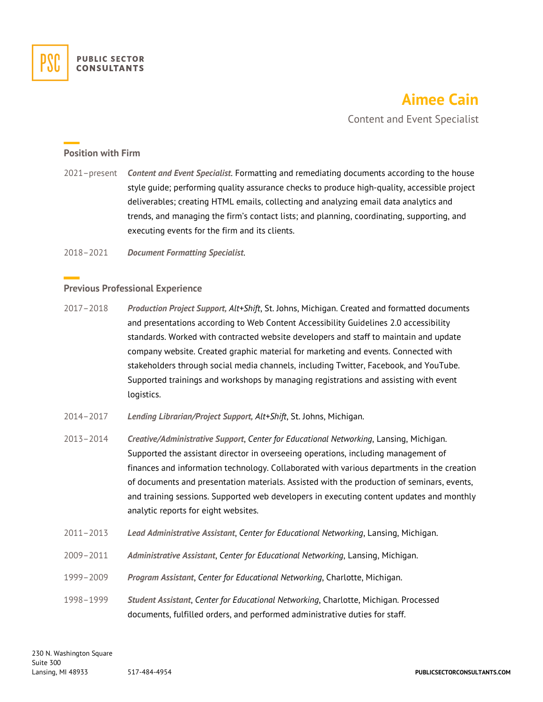

## **Aimee Cain**

Content and Event Specialist

## **Position with Firm**

2021–present *Content and Event Specialist*. Formatting and remediating documents according to the house style guide; performing quality assurance checks to produce high-quality, accessible project deliverables; creating HTML emails, collecting and analyzing email data analytics and trends, and managing the firm's contact lists; and planning, coordinating, supporting, and executing events for the firm and its clients.

2018–2021 *Document Formatting Specialist*.

## **Previous Professional Experience**

- 2017–2018 *Production Project Support, Alt+Shift*, St. Johns, Michigan. Created and formatted documents and presentations according to Web Content Accessibility Guidelines 2.0 accessibility standards. Worked with contracted website developers and staff to maintain and update company website. Created graphic material for marketing and events. Connected with stakeholders through social media channels, including Twitter, Facebook, and YouTube. Supported trainings and workshops by managing registrations and assisting with event logistics.
- 2014–2017 *Lending Librarian/Project Support, Alt+Shift*, St. Johns, Michigan.
- 2013–2014 *Creative/Administrative Support*, *Center for Educational Networking*, Lansing, Michigan. Supported the assistant director in overseeing operations, including management of finances and information technology. Collaborated with various departments in the creation of documents and presentation materials. Assisted with the production of seminars, events, and training sessions. Supported web developers in executing content updates and monthly analytic reports for eight websites.
- 2011–2013 *Lead Administrative Assistant*, *Center for Educational Networking*, Lansing, Michigan.
- 2009–2011 *Administrative Assistant*, *Center for Educational Networking*, Lansing, Michigan.
- 1999–2009 *Program Assistant*, *Center for Educational Networking*, Charlotte, Michigan.
- 1998–1999 *Student Assistant*, *Center for Educational Networking*, Charlotte, Michigan. Processed documents, fulfilled orders, and performed administrative duties for staff.